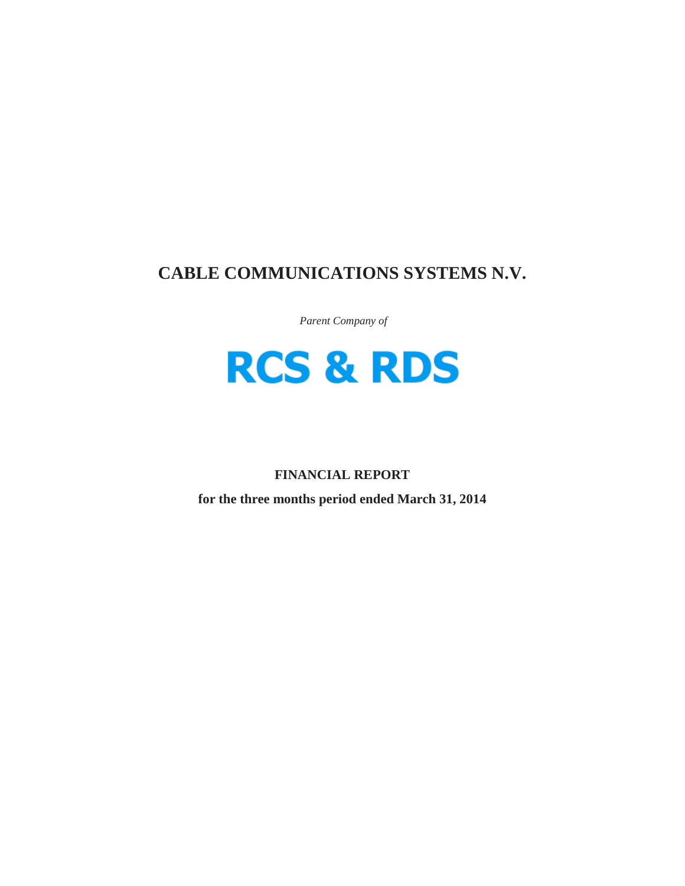## **CABLE COMMUNICATIONS SYSTEMS N.V.**

*Parent Company of*



## **FINANCIAL REPORT**

**for the three months period ended March 31, 2014**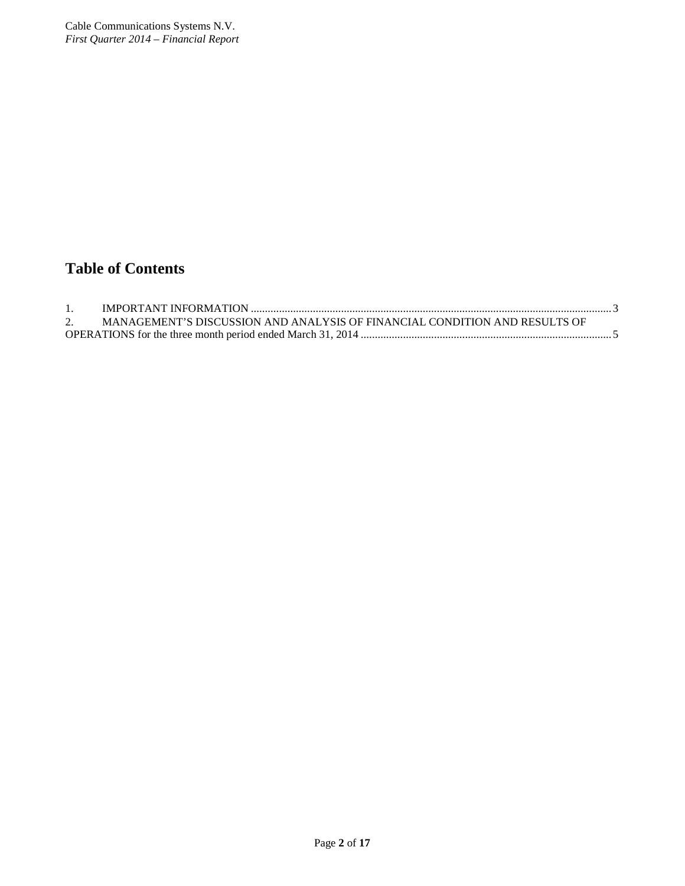# **Table of Contents**

| MANAGEMENT'S DISCUSSION AND ANALYSIS OF FINANCIAL CONDITION AND RESULTS OF |  |
|----------------------------------------------------------------------------|--|
|                                                                            |  |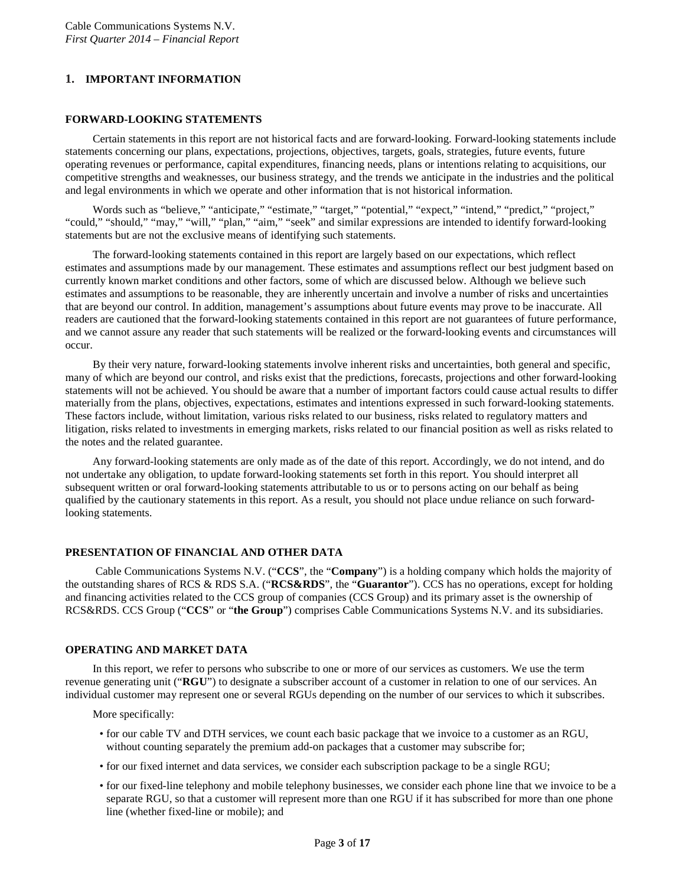## <span id="page-2-0"></span>**1. IMPORTANT INFORMATION**

#### **FORWARD-LOOKING STATEMENTS**

Certain statements in this report are not historical facts and are forward-looking. Forward-looking statements include statements concerning our plans, expectations, projections, objectives, targets, goals, strategies, future events, future operating revenues or performance, capital expenditures, financing needs, plans or intentions relating to acquisitions, our competitive strengths and weaknesses, our business strategy, and the trends we anticipate in the industries and the political and legal environments in which we operate and other information that is not historical information.

Words such as "believe," "anticipate," "estimate," "target," "potential," "expect," "intend," "predict," "project," "could," "should," "may," "will," "plan," "aim," "seek" and similar expressions are intended to identify forward-looking statements but are not the exclusive means of identifying such statements.

The forward-looking statements contained in this report are largely based on our expectations, which reflect estimates and assumptions made by our management. These estimates and assumptions reflect our best judgment based on currently known market conditions and other factors, some of which are discussed below. Although we believe such estimates and assumptions to be reasonable, they are inherently uncertain and involve a number of risks and uncertainties that are beyond our control. In addition, management's assumptions about future events may prove to be inaccurate. All readers are cautioned that the forward-looking statements contained in this report are not guarantees of future performance, and we cannot assure any reader that such statements will be realized or the forward-looking events and circumstances will occur.

By their very nature, forward-looking statements involve inherent risks and uncertainties, both general and specific, many of which are beyond our control, and risks exist that the predictions, forecasts, projections and other forward-looking statements will not be achieved. You should be aware that a number of important factors could cause actual results to differ materially from the plans, objectives, expectations, estimates and intentions expressed in such forward-looking statements. These factors include, without limitation, various risks related to our business, risks related to regulatory matters and litigation, risks related to investments in emerging markets, risks related to our financial position as well as risks related to the notes and the related guarantee.

Any forward-looking statements are only made as of the date of this report. Accordingly, we do not intend, and do not undertake any obligation, to update forward-looking statements set forth in this report. You should interpret all subsequent written or oral forward-looking statements attributable to us or to persons acting on our behalf as being qualified by the cautionary statements in this report. As a result, you should not place undue reliance on such forwardlooking statements.

## **PRESENTATION OF FINANCIAL AND OTHER DATA**

Cable Communications Systems N.V. ("**CCS**", the "**Company**") is a holding company which holds the majority of the outstanding shares of RCS & RDS S.A. ("**RCS&RDS**", the "**Guarantor**"). CCS has no operations, except for holding and financing activities related to the CCS group of companies (CCS Group) and its primary asset is the ownership of RCS&RDS. CCS Group ("**CCS**" or "**the Group**") comprises Cable Communications Systems N.V. and its subsidiaries.

#### **OPERATING AND MARKET DATA**

In this report, we refer to persons who subscribe to one or more of our services as customers. We use the term revenue generating unit ("**RGU**") to designate a subscriber account of a customer in relation to one of our services. An individual customer may represent one or several RGUs depending on the number of our services to which it subscribes.

More specifically:

- for our cable TV and DTH services, we count each basic package that we invoice to a customer as an RGU, without counting separately the premium add-on packages that a customer may subscribe for;
- for our fixed internet and data services, we consider each subscription package to be a single RGU;
- for our fixed-line telephony and mobile telephony businesses, we consider each phone line that we invoice to be a separate RGU, so that a customer will represent more than one RGU if it has subscribed for more than one phone line (whether fixed-line or mobile); and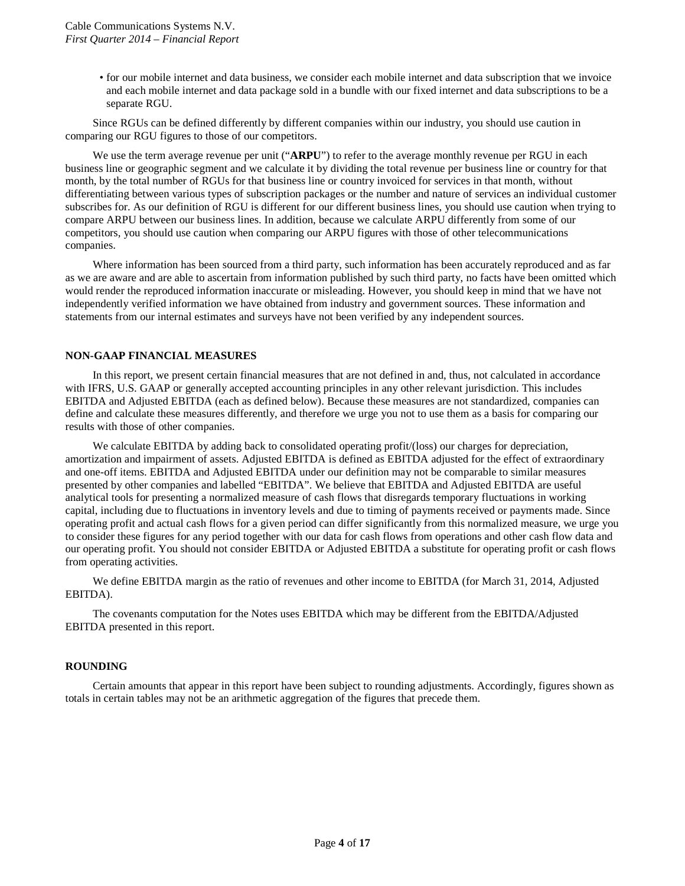• for our mobile internet and data business, we consider each mobile internet and data subscription that we invoice and each mobile internet and data package sold in a bundle with our fixed internet and data subscriptions to be a separate RGU.

Since RGUs can be defined differently by different companies within our industry, you should use caution in comparing our RGU figures to those of our competitors.

We use the term average revenue per unit ("**ARPU**") to refer to the average monthly revenue per RGU in each business line or geographic segment and we calculate it by dividing the total revenue per business line or country for that month, by the total number of RGUs for that business line or country invoiced for services in that month, without differentiating between various types of subscription packages or the number and nature of services an individual customer subscribes for. As our definition of RGU is different for our different business lines, you should use caution when trying to compare ARPU between our business lines. In addition, because we calculate ARPU differently from some of our competitors, you should use caution when comparing our ARPU figures with those of other telecommunications companies.

Where information has been sourced from a third party, such information has been accurately reproduced and as far as we are aware and are able to ascertain from information published by such third party, no facts have been omitted which would render the reproduced information inaccurate or misleading. However, you should keep in mind that we have not independently verified information we have obtained from industry and government sources. These information and statements from our internal estimates and surveys have not been verified by any independent sources.

#### **NON-GAAP FINANCIAL MEASURES**

In this report, we present certain financial measures that are not defined in and, thus, not calculated in accordance with IFRS, U.S. GAAP or generally accepted accounting principles in any other relevant jurisdiction. This includes EBITDA and Adjusted EBITDA (each as defined below). Because these measures are not standardized, companies can define and calculate these measures differently, and therefore we urge you not to use them as a basis for comparing our results with those of other companies.

We calculate EBITDA by adding back to consolidated operating profit/(loss) our charges for depreciation, amortization and impairment of assets. Adjusted EBITDA is defined as EBITDA adjusted for the effect of extraordinary and one-off items. EBITDA and Adjusted EBITDA under our definition may not be comparable to similar measures presented by other companies and labelled "EBITDA". We believe that EBITDA and Adjusted EBITDA are useful analytical tools for presenting a normalized measure of cash flows that disregards temporary fluctuations in working capital, including due to fluctuations in inventory levels and due to timing of payments received or payments made. Since operating profit and actual cash flows for a given period can differ significantly from this normalized measure, we urge you to consider these figures for any period together with our data for cash flows from operations and other cash flow data and our operating profit. You should not consider EBITDA or Adjusted EBITDA a substitute for operating profit or cash flows from operating activities.

We define EBITDA margin as the ratio of revenues and other income to EBITDA (for March 31, 2014, Adjusted EBITDA).

The covenants computation for the Notes uses EBITDA which may be different from the EBITDA/Adjusted EBITDA presented in this report.

#### **ROUNDING**

Certain amounts that appear in this report have been subject to rounding adjustments. Accordingly, figures shown as totals in certain tables may not be an arithmetic aggregation of the figures that precede them.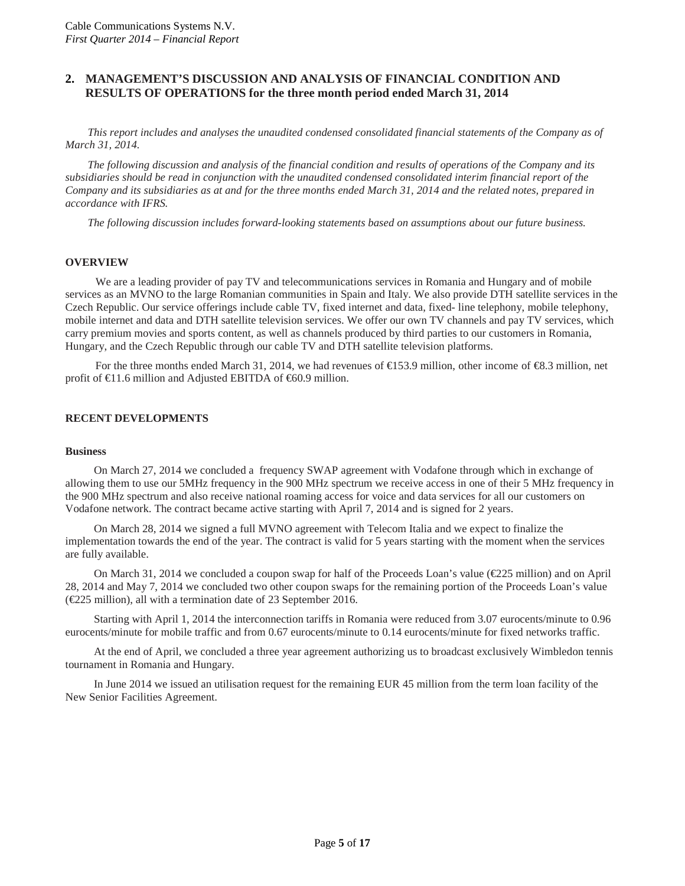## <span id="page-4-0"></span>**2. MANAGEMENT'S DISCUSSION AND ANALYSIS OF FINANCIAL CONDITION AND RESULTS OF OPERATIONS for the three month period ended March 31, 2014**

*This report includes and analyses the unaudited condensed consolidated financial statements of the Company as of March 31, 2014.*

*The following discussion and analysis of the financial condition and results of operations of the Company and its subsidiaries should be read in conjunction with the unaudited condensed consolidated interim financial report of the Company and its subsidiaries as at and for the three months ended March 31, 2014 and the related notes, prepared in accordance with IFRS.*

*The following discussion includes forward-looking statements based on assumptions about our future business.*

#### **OVERVIEW**

We are a leading provider of pay TV and telecommunications services in Romania and Hungary and of mobile services as an MVNO to the large Romanian communities in Spain and Italy. We also provide DTH satellite services in the Czech Republic. Our service offerings include cable TV, fixed internet and data, fixed- line telephony, mobile telephony, mobile internet and data and DTH satellite television services. We offer our own TV channels and pay TV services, which carry premium movies and sports content, as well as channels produced by third parties to our customers in Romania, Hungary, and the Czech Republic through our cable TV and DTH satellite television platforms.

For the three months ended March 31, 2014, we had revenues of €153.9 million, other income of €8.3 million, net profit of  $\in$ 1.6 million and Adjusted EBITDA of  $\in$ 0.9 million.

#### **RECENT DEVELOPMENTS**

#### **Business**

On March 27, 2014 we concluded a frequency SWAP agreement with Vodafone through which in exchange of allowing them to use our 5MHz frequency in the 900 MHz spectrum we receive access in one of their 5 MHz frequency in the 900 MHz spectrum and also receive national roaming access for voice and data services for all our customers on Vodafone network. The contract became active starting with April 7, 2014 and is signed for 2 years.

On March 28, 2014 we signed a full MVNO agreement with Telecom Italia and we expect to finalize the implementation towards the end of the year. The contract is valid for 5 years starting with the moment when the services are fully available.

On March 31, 2014 we concluded a coupon swap for half of the Proceeds Loan's value (€225 million) and on April 28, 2014 and May 7, 2014 we concluded two other coupon swaps for the remaining portion of the Proceeds Loan's value (€225 million), all with a termination date of 23 September 2016.

Starting with April 1, 2014 the interconnection tariffs in Romania were reduced from 3.07 eurocents/minute to 0.96 eurocents/minute for mobile traffic and from 0.67 eurocents/minute to 0.14 eurocents/minute for fixed networks traffic.

At the end of April, we concluded a three year agreement authorizing us to broadcast exclusively Wimbledon tennis tournament in Romania and Hungary.

In June 2014 we issued an utilisation request for the remaining EUR 45 million from the term loan facility of the New Senior Facilities Agreement.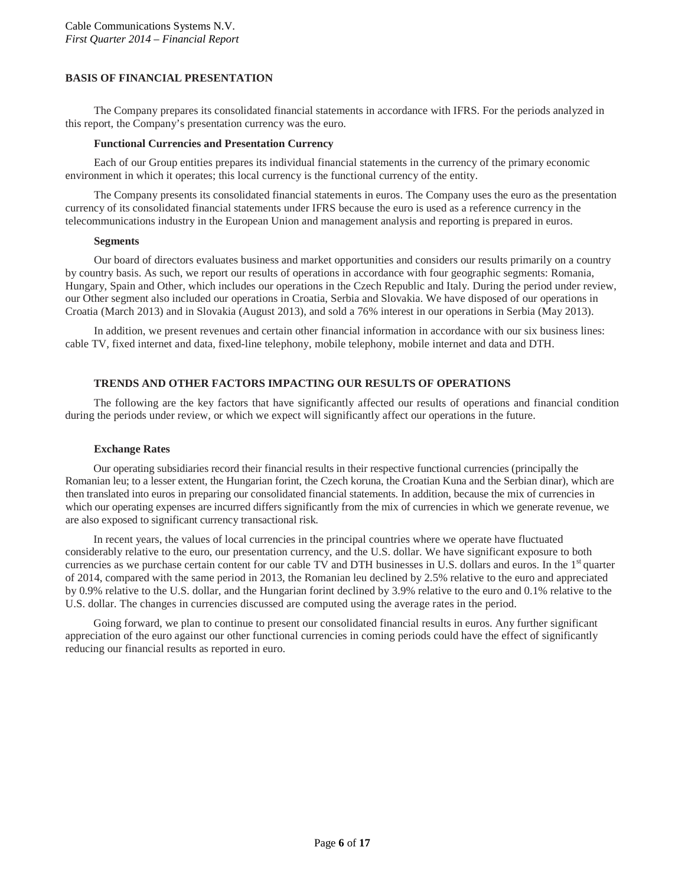## **BASIS OF FINANCIAL PRESENTATION**

The Company prepares its consolidated financial statements in accordance with IFRS. For the periods analyzed in this report, the Company's presentation currency was the euro.

#### **Functional Currencies and Presentation Currency**

Each of our Group entities prepares its individual financial statements in the currency of the primary economic environment in which it operates; this local currency is the functional currency of the entity.

The Company presents its consolidated financial statements in euros. The Company uses the euro as the presentation currency of its consolidated financial statements under IFRS because the euro is used as a reference currency in the telecommunications industry in the European Union and management analysis and reporting is prepared in euros.

#### **Segments**

Our board of directors evaluates business and market opportunities and considers our results primarily on a country by country basis. As such, we report our results of operations in accordance with four geographic segments: Romania, Hungary, Spain and Other, which includes our operations in the Czech Republic and Italy. During the period under review, our Other segment also included our operations in Croatia, Serbia and Slovakia. We have disposed of our operations in Croatia (March 2013) and in Slovakia (August 2013), and sold a 76% interest in our operations in Serbia (May 2013).

In addition, we present revenues and certain other financial information in accordance with our six business lines: cable TV, fixed internet and data, fixed-line telephony, mobile telephony, mobile internet and data and DTH.

#### **TRENDS AND OTHER FACTORS IMPACTING OUR RESULTS OF OPERATIONS**

The following are the key factors that have significantly affected our results of operations and financial condition during the periods under review, or which we expect will significantly affect our operations in the future.

#### **Exchange Rates**

Our operating subsidiaries record their financial results in their respective functional currencies (principally the Romanian leu; to a lesser extent, the Hungarian forint, the Czech koruna, the Croatian Kuna and the Serbian dinar), which are then translated into euros in preparing our consolidated financial statements. In addition, because the mix of currencies in which our operating expenses are incurred differs significantly from the mix of currencies in which we generate revenue, we are also exposed to significant currency transactional risk.

In recent years, the values of local currencies in the principal countries where we operate have fluctuated considerably relative to the euro, our presentation currency, and the U.S. dollar. We have significant exposure to both currencies as we purchase certain content for our cable TV and DTH businesses in U.S. dollars and euros. In the  $1<sup>st</sup>$  quarter of 2014, compared with the same period in 2013, the Romanian leu declined by 2.5% relative to the euro and appreciated by 0.9% relative to the U.S. dollar, and the Hungarian forint declined by 3.9% relative to the euro and 0.1% relative to the U.S. dollar. The changes in currencies discussed are computed using the average rates in the period.

Going forward, we plan to continue to present our consolidated financial results in euros. Any further significant appreciation of the euro against our other functional currencies in coming periods could have the effect of significantly reducing our financial results as reported in euro.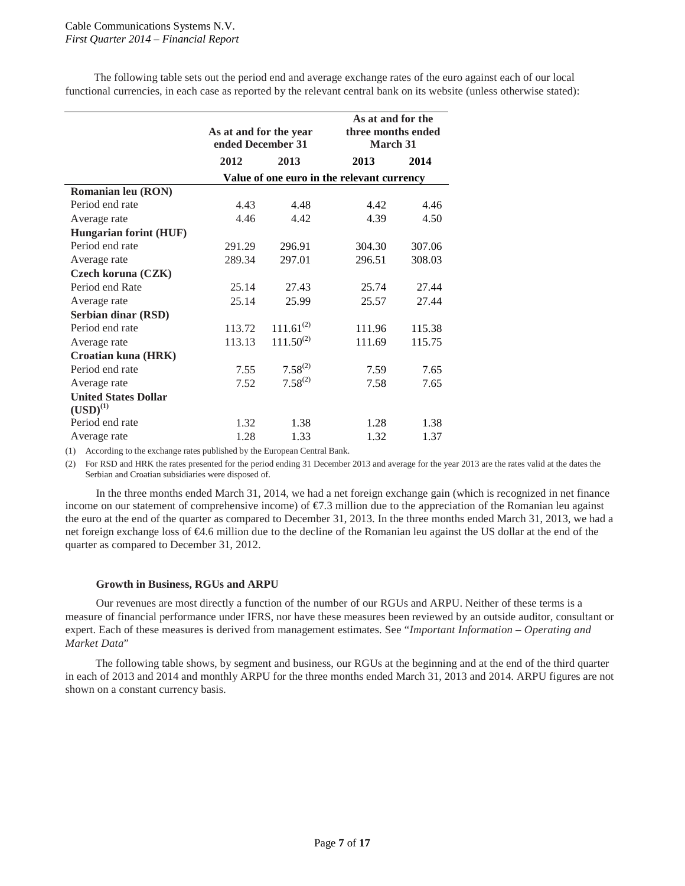The following table sets out the period end and average exchange rates of the euro against each of our local functional currencies, in each case as reported by the relevant central bank on its website (unless otherwise stated):

|                                              | As at and for the year<br>ended December 31 |                | As at and for the<br>three months ended<br><b>March 31</b> |        |
|----------------------------------------------|---------------------------------------------|----------------|------------------------------------------------------------|--------|
|                                              | 2012                                        | 2013           | 2013                                                       | 2014   |
|                                              |                                             |                | Value of one euro in the relevant currency                 |        |
| Romanian leu (RON)                           |                                             |                |                                                            |        |
| Period end rate                              | 4.43                                        | 4.48           | 4.42                                                       | 4.46   |
| Average rate                                 | 4.46                                        | 4.42           | 4.39                                                       | 4.50   |
| <b>Hungarian forint (HUF)</b>                |                                             |                |                                                            |        |
| Period end rate                              | 291.29                                      | 296.91         | 304.30                                                     | 307.06 |
| Average rate                                 | 289.34                                      | 297.01         | 296.51                                                     | 308.03 |
| Czech koruna (CZK)                           |                                             |                |                                                            |        |
| Period end Rate                              | 25.14                                       | 27.43          | 25.74                                                      | 27.44  |
| Average rate                                 | 25.14                                       | 25.99          | 25.57                                                      | 27.44  |
| Serbian dinar (RSD)                          |                                             |                |                                                            |        |
| Period end rate                              | 113.72                                      | $111.61^{(2)}$ | 111.96                                                     | 115.38 |
| Average rate                                 | 113.13                                      | $111.50^{(2)}$ | 111.69                                                     | 115.75 |
| Croatian kuna (HRK)                          |                                             |                |                                                            |        |
| Period end rate                              | 7.55                                        | $7.58^{(2)}$   | 7.59                                                       | 7.65   |
| Average rate                                 | 7.52                                        | $7.58^{(2)}$   | 7.58                                                       | 7.65   |
| <b>United States Dollar</b><br>$(USD)^{(1)}$ |                                             |                |                                                            |        |
| Period end rate                              | 1.32                                        | 1.38           | 1.28                                                       | 1.38   |
| Average rate                                 | 1.28                                        | 1.33           | 1.32                                                       | 1.37   |

(1) According to the exchange rates published by the European Central Bank.

(2) For RSD and HRK the rates presented for the period ending 31 December 2013 and average for the year 2013 are the rates valid at the dates the Serbian and Croatian subsidiaries were disposed of.

In the three months ended March 31, 2014, we had a net foreign exchange gain (which is recognized in net finance income on our statement of comprehensive income) of  $\epsilon$ 7.3 million due to the appreciation of the Romanian leu against the euro at the end of the quarter as compared to December 31, 2013. In the three months ended March 31, 2013, we had a net foreign exchange loss of €4.6 million due to the decline of the Romanian leu against the US dollar at the end of the quarter as compared to December 31, 2012.

#### **Growth in Business, RGUs and ARPU**

Our revenues are most directly a function of the number of our RGUs and ARPU. Neither of these terms is a measure of financial performance under IFRS, nor have these measures been reviewed by an outside auditor, consultant or expert. Each of these measures is derived from management estimates. See "*Important Information – Operating and Market Data*"

The following table shows, by segment and business, our RGUs at the beginning and at the end of the third quarter in each of 2013 and 2014 and monthly ARPU for the three months ended March 31, 2013 and 2014. ARPU figures are not shown on a constant currency basis.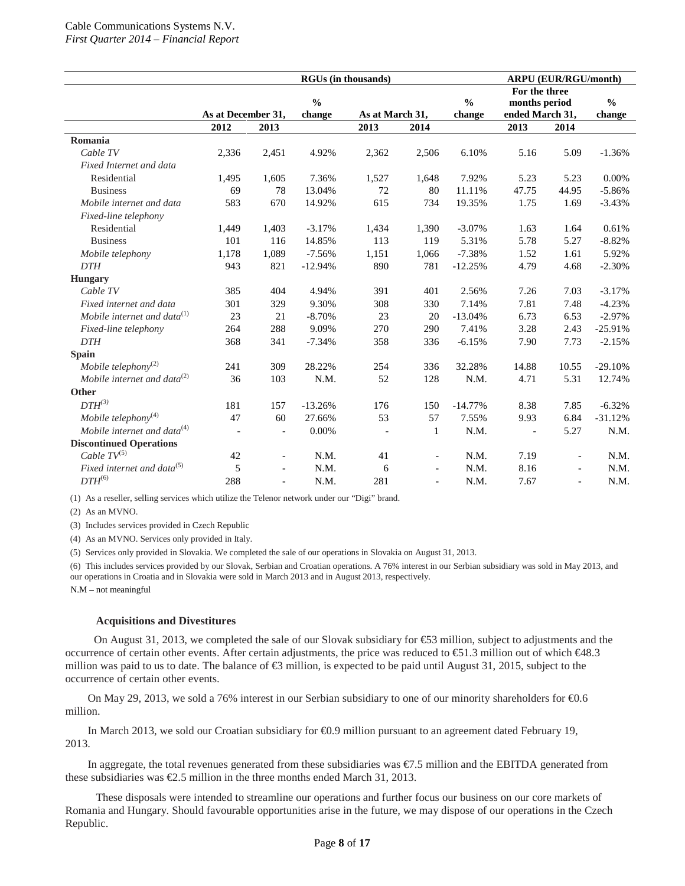|                                   | <b>RGUs (in thousands)</b> |                          |               |                          |                          |               | <b>ARPU (EUR/RGU/month)</b> |                          |               |
|-----------------------------------|----------------------------|--------------------------|---------------|--------------------------|--------------------------|---------------|-----------------------------|--------------------------|---------------|
|                                   |                            |                          |               |                          |                          |               | For the three               |                          |               |
|                                   |                            |                          | $\frac{0}{0}$ |                          |                          | $\frac{0}{0}$ | months period               |                          | $\frac{0}{0}$ |
|                                   | As at December 31,         |                          | change        | As at March 31,          |                          | change        | ended March 31,             |                          | change        |
|                                   | 2012                       | 2013                     |               | 2013                     | 2014                     |               | 2013                        | 2014                     |               |
| Romania                           |                            |                          |               |                          |                          |               |                             |                          |               |
| Cable TV                          | 2,336                      | 2,451                    | 4.92%         | 2,362                    | 2,506                    | 6.10%         | 5.16                        | 5.09                     | $-1.36%$      |
| Fixed Internet and data           |                            |                          |               |                          |                          |               |                             |                          |               |
| Residential                       | 1,495                      | 1,605                    | 7.36%         | 1,527                    | 1,648                    | 7.92%         | 5.23                        | 5.23                     | 0.00%         |
| <b>Business</b>                   | 69                         | 78                       | 13.04%        | 72                       | 80                       | 11.11%        | 47.75                       | 44.95                    | $-5.86%$      |
| Mobile internet and data          | 583                        | 670                      | 14.92%        | 615                      | 734                      | 19.35%        | 1.75                        | 1.69                     | $-3.43%$      |
| Fixed-line telephony              |                            |                          |               |                          |                          |               |                             |                          |               |
| Residential                       | 1,449                      | 1,403                    | $-3.17%$      | 1,434                    | 1,390                    | $-3.07%$      | 1.63                        | 1.64                     | 0.61%         |
| <b>Business</b>                   | 101                        | 116                      | 14.85%        | 113                      | 119                      | 5.31%         | 5.78                        | 5.27                     | $-8.82%$      |
| Mobile telephony                  | 1,178                      | 1,089                    | $-7.56%$      | 1,151                    | 1,066                    | $-7.38%$      | 1.52                        | 1.61                     | 5.92%         |
| <b>DTH</b>                        | 943                        | 821                      | $-12.94%$     | 890                      | 781                      | $-12.25%$     | 4.79                        | 4.68                     | $-2.30%$      |
| <b>Hungary</b>                    |                            |                          |               |                          |                          |               |                             |                          |               |
| Cable TV                          | 385                        | 404                      | 4.94%         | 391                      | 401                      | 2.56%         | 7.26                        | 7.03                     | $-3.17%$      |
| Fixed internet and data           | 301                        | 329                      | 9.30%         | 308                      | 330                      | 7.14%         | 7.81                        | 7.48                     | $-4.23%$      |
| Mobile internet and data $^{(1)}$ | 23                         | 21                       | $-8.70%$      | 23                       | 20                       | $-13.04%$     | 6.73                        | 6.53                     | $-2.97%$      |
| Fixed-line telephony              | 264                        | 288                      | 9.09%         | 270                      | 290                      | 7.41%         | 3.28                        | 2.43                     | $-25.91%$     |
| <b>DTH</b>                        | 368                        | 341                      | $-7.34%$      | 358                      | 336                      | $-6.15%$      | 7.90                        | 7.73                     | $-2.15%$      |
| Spain                             |                            |                          |               |                          |                          |               |                             |                          |               |
| Mobile telephony <sup>(2)</sup>   | 241                        | 309                      | 28.22%        | 254                      | 336                      | 32.28%        | 14.88                       | 10.55                    | $-29.10%$     |
| Mobile internet and data $^{(2)}$ | 36                         | 103                      | N.M.          | 52                       | 128                      | N.M.          | 4.71                        | 5.31                     | 12.74%        |
| Other                             |                            |                          |               |                          |                          |               |                             |                          |               |
| $DTH^{(3)}$                       | 181                        | 157                      | $-13.26%$     | 176                      | 150                      | $-14.77%$     | 8.38                        | 7.85                     | $-6.32%$      |
| Mobile telephony $(4)$            | 47                         | 60                       | 27.66%        | 53                       | 57                       | 7.55%         | 9.93                        | 6.84                     | $-31.12%$     |
| Mobile internet and data $(4)$    |                            | $\overline{\phantom{a}}$ | 0.00%         | $\overline{\phantom{a}}$ | $\mathbf{1}$             | N.M.          | $\overline{\phantom{a}}$    | 5.27                     | N.M.          |
| <b>Discontinued Operations</b>    |                            |                          |               |                          |                          |               |                             |                          |               |
| Cable $TV^{(5)}$                  | 42                         | $\overline{\phantom{a}}$ | N.M.          | 41                       | $\sim$                   | N.M.          | 7.19                        | $\overline{\phantom{a}}$ | N.M.          |
| Fixed internet and data $^{(5)}$  | 5                          |                          | N.M.          | 6                        | $\overline{\phantom{a}}$ | N.M.          | 8.16                        | $\overline{a}$           | N.M.          |
| $DTH^{(6)}$                       | 288                        | $\overline{\phantom{a}}$ | N.M.          | 281                      | $\sim$                   | N.M.          | 7.67                        | $\overline{\phantom{a}}$ | N.M.          |

(1) As a reseller, selling services which utilize the Telenor network under our "Digi" brand.

(2) As an MVNO.

(3) Includes services provided in Czech Republic

(4) As an MVNO. Services only provided in Italy.

(5) Services only provided in Slovakia. We completed the sale of our operations in Slovakia on August 31, 2013.

(6) This includes services provided by our Slovak, Serbian and Croatian operations. A 76% interest in our Serbian subsidiary was sold in May 2013, and our operations in Croatia and in Slovakia were sold in March 2013 and in August 2013, respectively.

N.M – not meaningful

#### **Acquisitions and Divestitures**

On August 31, 2013, we completed the sale of our Slovak subsidiary for €53 million, subject to adjustments and the occurrence of certain other events. After certain adjustments, the price was reduced to €51.3 million out of which €48.3 million was paid to us to date. The balance of  $\bigoplus$  million, is expected to be paid until August 31, 2015, subject to the occurrence of certain other events.

On May 29, 2013, we sold a 76% interest in our Serbian subsidiary to one of our minority shareholders for €0.6 million.

In March 2013, we sold our Croatian subsidiary for €0.9 million pursuant to an agreement dated February 19, 2013.

In aggregate, the total revenues generated from these subsidiaries was €7.5 million and the EBITDA generated from these subsidiaries was  $\epsilon$ 2.5 million in the three months ended March 31, 2013.

These disposals were intended to streamline our operations and further focus our business on our core markets of Romania and Hungary. Should favourable opportunities arise in the future, we may dispose of our operations in the Czech Republic.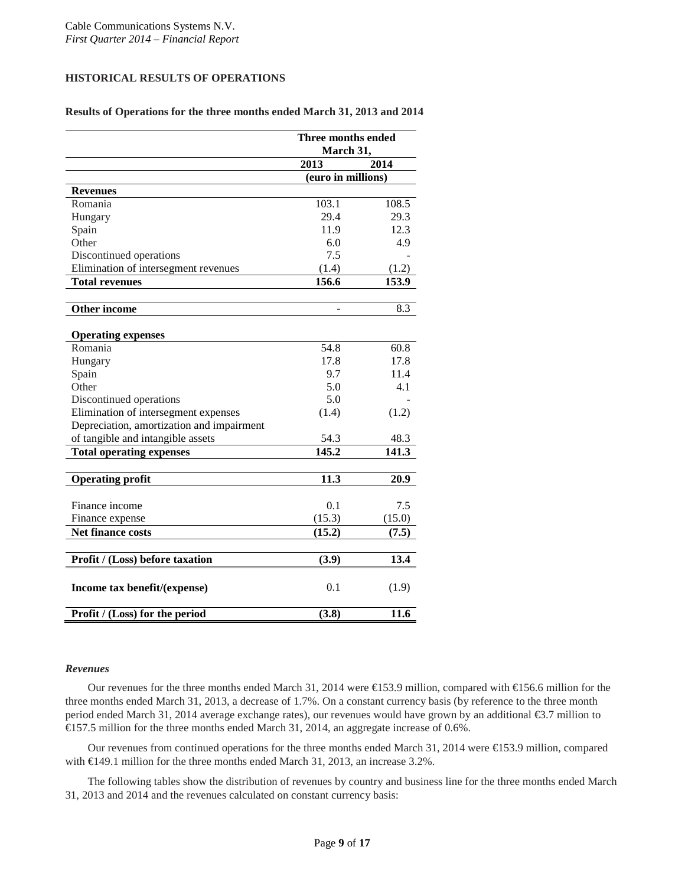## **HISTORICAL RESULTS OF OPERATIONS**

### **Results of Operations for the three months ended March 31, 2013 and 2014**

|                                           | Three months ended<br>March 31, |        |
|-------------------------------------------|---------------------------------|--------|
|                                           | 2013                            | 2014   |
|                                           | (euro in millions)              |        |
| <b>Revenues</b>                           |                                 |        |
| Romania                                   | 103.1                           | 108.5  |
| Hungary                                   | 29.4                            | 29.3   |
| Spain                                     | 11.9                            | 12.3   |
| Other                                     | 6.0                             | 4.9    |
| Discontinued operations                   | 7.5                             |        |
| Elimination of intersegment revenues      | (1.4)                           | (1.2)  |
| <b>Total revenues</b>                     | 156.6                           | 153.9  |
| <b>Other income</b>                       |                                 | 8.3    |
|                                           |                                 |        |
| <b>Operating expenses</b>                 |                                 |        |
| Romania                                   | 54.8                            | 60.8   |
| Hungary                                   | 17.8                            | 17.8   |
| Spain                                     | 9.7                             | 11.4   |
| Other                                     | 5.0                             | 4.1    |
| Discontinued operations                   | 5.0                             |        |
| Elimination of intersegment expenses      | (1.4)                           | (1.2)  |
| Depreciation, amortization and impairment |                                 |        |
| of tangible and intangible assets         | 54.3                            | 48.3   |
| <b>Total operating expenses</b>           | 145.2                           | 141.3  |
| <b>Operating profit</b>                   | 11.3                            | 20.9   |
|                                           |                                 |        |
| Finance income                            | 0.1                             | 7.5    |
| Finance expense                           | (15.3)                          | (15.0) |
| <b>Net finance costs</b>                  | (15.2)                          | (7.5)  |
|                                           |                                 |        |
| Profit / (Loss) before taxation           | (3.9)                           | 13.4   |
| Income tax benefit/(expense)              | 0.1                             | (1.9)  |
| Profit / (Loss) for the period            | (3.8)                           | 11.6   |

#### *Revenues*

Our revenues for the three months ended March 31, 2014 were €153.9 million, compared with €156.6 million for the three months ended March 31, 2013, a decrease of 1.7%. On a constant currency basis (by reference to the three month period ended March 31, 2014 average exchange rates), our revenues would have grown by an additional €3.7 million to €157.5 million for the three months ended March 31, 2014, an aggregate increase of 0.6%.

Our revenues from continued operations for the three months ended March 31, 2014 were €153.9 million, compared with €149.1 million for the three months ended March 31, 2013, an increase 3.2%.

The following tables show the distribution of revenues by country and business line for the three months ended March 31, 2013 and 2014 and the revenues calculated on constant currency basis: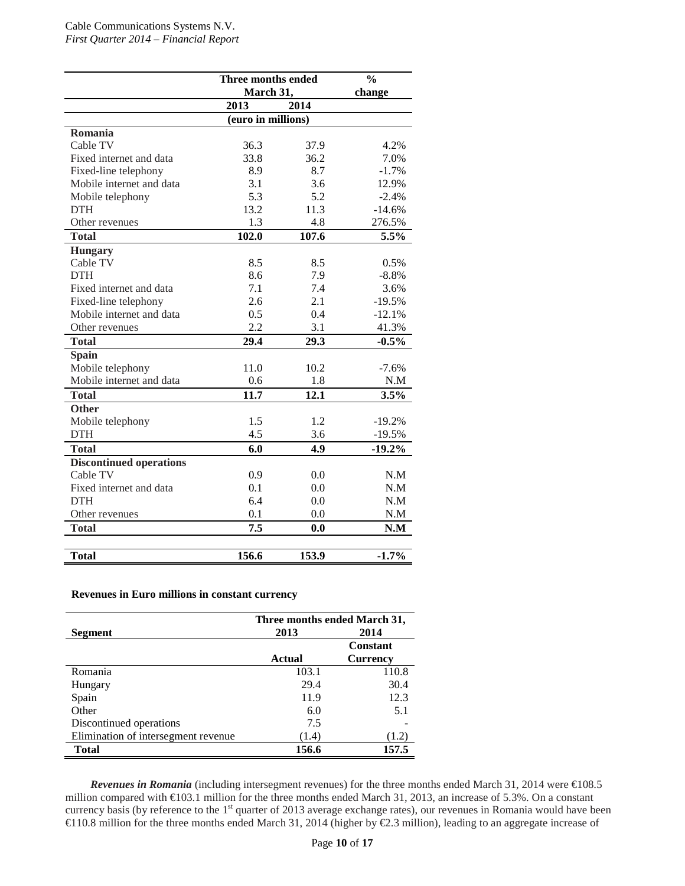|                                | Three months ended | $\frac{0}{0}$ |          |  |
|--------------------------------|--------------------|---------------|----------|--|
|                                | March 31,          | change        |          |  |
|                                | 2013               | 2014          |          |  |
| (euro in millions)             |                    |               |          |  |
| Romania                        |                    |               |          |  |
| Cable TV                       | 36.3               | 37.9          | 4.2%     |  |
| Fixed internet and data        | 33.8               | 36.2          | 7.0%     |  |
| Fixed-line telephony           | 8.9                | 8.7           | $-1.7%$  |  |
| Mobile internet and data       | 3.1                | 3.6           | 12.9%    |  |
| Mobile telephony               | 5.3                | 5.2           | $-2.4%$  |  |
| <b>DTH</b>                     | 13.2               | 11.3          | $-14.6%$ |  |
| Other revenues                 | 1.3                | 4.8           | 276.5%   |  |
| <b>Total</b>                   | 102.0              | 107.6         | 5.5%     |  |
| <b>Hungary</b>                 |                    |               |          |  |
| Cable TV                       | 8.5                | 8.5           | 0.5%     |  |
| <b>DTH</b>                     | 8.6                | 7.9           | $-8.8%$  |  |
| Fixed internet and data        | 7.1                | 7.4           | 3.6%     |  |
| Fixed-line telephony           | 2.6                | 2.1           | $-19.5%$ |  |
| Mobile internet and data       | 0.5                | 0.4           | $-12.1%$ |  |
| Other revenues                 | 2.2                | 3.1           | 41.3%    |  |
| <b>Total</b>                   | 29.4               | 29.3          | $-0.5%$  |  |
| <b>Spain</b>                   |                    |               |          |  |
| Mobile telephony               | 11.0               | 10.2          | $-7.6%$  |  |
| Mobile internet and data       | 0.6                | 1.8           | N.M      |  |
| <b>Total</b>                   | 11.7               | 12.1          | 3.5%     |  |
| <b>Other</b>                   |                    |               |          |  |
| Mobile telephony               | 1.5                | 1.2           | $-19.2%$ |  |
| <b>DTH</b>                     | 4.5                | 3.6           | $-19.5%$ |  |
| <b>Total</b>                   | 6.0                | 4.9           | $-19.2%$ |  |
| <b>Discontinued operations</b> |                    |               |          |  |
| Cable TV                       | 0.9                | 0.0           | N.M      |  |
| Fixed internet and data        | 0.1                | 0.0           | N.M      |  |
| <b>DTH</b>                     | 6.4                | 0.0           | N.M      |  |
| Other revenues                 | 0.1                | 0.0           | N.M      |  |
| <b>Total</b>                   | 7.5                | 0.0           | N.M      |  |
|                                |                    |               |          |  |
| <b>Total</b>                   | 156.6              | 153.9         | $-1.7%$  |  |

### **Revenues in Euro millions in constant currency**

|                                     | Three months ended March 31, |                 |  |
|-------------------------------------|------------------------------|-----------------|--|
| Segment                             | 2013                         | 2014            |  |
|                                     |                              | <b>Constant</b> |  |
|                                     | <b>Actual</b>                | <b>Currency</b> |  |
| Romania                             | 103.1                        | 110.8           |  |
| Hungary                             | 29.4                         | 30.4            |  |
| Spain                               | 11.9                         | 12.3            |  |
| Other                               | 6.0                          | 5.1             |  |
| Discontinued operations             | 7.5                          |                 |  |
| Elimination of intersegment revenue | (1.4)                        | (1.2)           |  |
| <b>Total</b>                        | 156.6                        | 157.5           |  |

*Revenues in Romania* (including intersegment revenues) for the three months ended March 31, 2014 were €108.5 million compared with €103.1 million for the three months ended March 31, 2013, an increase of 5.3%. On a constant currency basis (by reference to the  $1<sup>st</sup>$  quarter of 2013 average exchange rates), our revenues in Romania would have been €110.8 million for the three months ended March 31, 2014 (higher by €2.3 million), leading to an aggregate increase of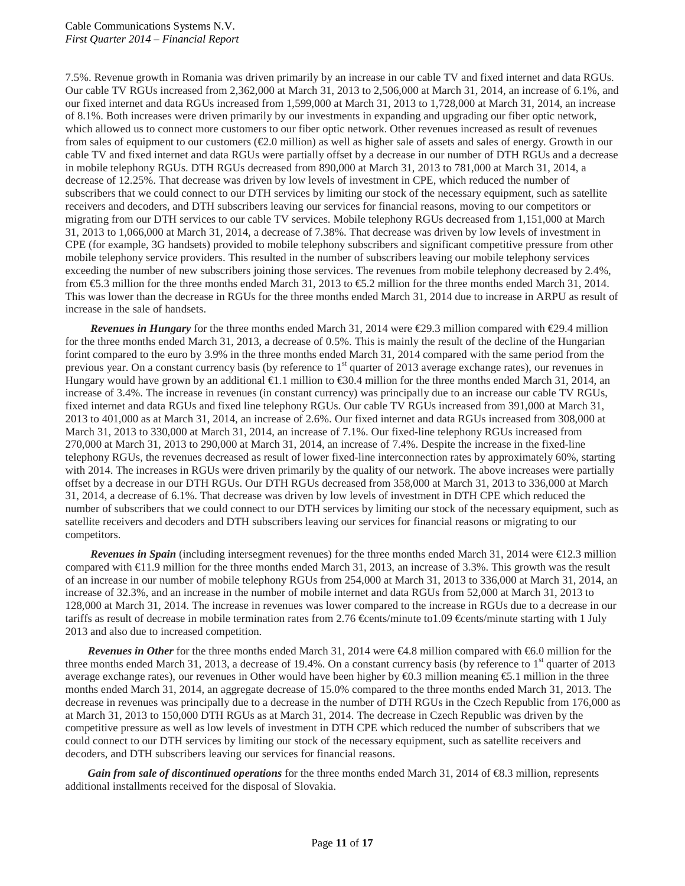7.5%. Revenue growth in Romania was driven primarily by an increase in our cable TV and fixed internet and data RGUs. Our cable TV RGUs increased from 2,362,000 at March 31, 2013 to 2,506,000 at March 31, 2014, an increase of 6.1%, and our fixed internet and data RGUs increased from 1,599,000 at March 31, 2013 to 1,728,000 at March 31, 2014, an increase of 8.1%. Both increases were driven primarily by our investments in expanding and upgrading our fiber optic network, which allowed us to connect more customers to our fiber optic network. Other revenues increased as result of revenues from sales of equipment to our customers  $(\mathcal{Q}, 0 \text{ million})$  as well as higher sale of assets and sales of energy. Growth in our cable TV and fixed internet and data RGUs were partially offset by a decrease in our number of DTH RGUs and a decrease in mobile telephony RGUs. DTH RGUs decreased from 890,000 at March 31, 2013 to 781,000 at March 31, 2014, a decrease of 12.25%. That decrease was driven by low levels of investment in CPE, which reduced the number of subscribers that we could connect to our DTH services by limiting our stock of the necessary equipment, such as satellite receivers and decoders, and DTH subscribers leaving our services for financial reasons, moving to our competitors or migrating from our DTH services to our cable TV services. Mobile telephony RGUs decreased from 1,151,000 at March 31, 2013 to 1,066,000 at March 31, 2014, a decrease of 7.38%. That decrease was driven by low levels of investment in CPE (for example, 3G handsets) provided to mobile telephony subscribers and significant competitive pressure from other mobile telephony service providers. This resulted in the number of subscribers leaving our mobile telephony services exceeding the number of new subscribers joining those services. The revenues from mobile telephony decreased by 2.4%, from €5.3 million for the three months ended March 31, 2013 to €5.2 million for the three months ended March 31, 2014. This was lower than the decrease in RGUs for the three months ended March 31, 2014 due to increase in ARPU as result of increase in the sale of handsets.

*Revenues in Hungary* for the three months ended March 31, 2014 were €29.3 million compared with €29.4 million for the three months ended March 31, 2013, a decrease of 0.5%. This is mainly the result of the decline of the Hungarian forint compared to the euro by 3.9% in the three months ended March 31, 2014 compared with the same period from the previous year. On a constant currency basis (by reference to 1<sup>st</sup> quarter of 2013 average exchange rates), our revenues in Hungary would have grown by an additional  $\bigoplus$ .1 million to  $\bigoplus$ 0.4 million for the three months ended March 31, 2014, an increase of 3.4%. The increase in revenues (in constant currency) was principally due to an increase our cable TV RGUs, fixed internet and data RGUs and fixed line telephony RGUs. Our cable TV RGUs increased from 391,000 at March 31, 2013 to 401,000 as at March 31, 2014, an increase of 2.6%. Our fixed internet and data RGUs increased from 308,000 at March 31, 2013 to 330,000 at March 31, 2014, an increase of 7.1%. Our fixed-line telephony RGUs increased from 270,000 at March 31, 2013 to 290,000 at March 31, 2014, an increase of 7.4%. Despite the increase in the fixed-line telephony RGUs, the revenues decreased as result of lower fixed-line interconnection rates by approximately 60%, starting with 2014. The increases in RGUs were driven primarily by the quality of our network. The above increases were partially offset by a decrease in our DTH RGUs. Our DTH RGUs decreased from 358,000 at March 31, 2013 to 336,000 at March 31, 2014, a decrease of 6.1%. That decrease was driven by low levels of investment in DTH CPE which reduced the number of subscribers that we could connect to our DTH services by limiting our stock of the necessary equipment, such as satellite receivers and decoders and DTH subscribers leaving our services for financial reasons or migrating to our competitors.

*Revenues in Spain* (including intersegment revenues) for the three months ended March 31, 2014 were  $E$ 12.3 million compared with €11.9 million for the three months ended March 31, 2013, an increase of 3.3%. This growth was the result of an increase in our number of mobile telephony RGUs from 254,000 at March 31, 2013 to 336,000 at March 31, 2014, an increase of 32.3%, and an increase in the number of mobile internet and data RGUs from 52,000 at March 31, 2013 to 128,000 at March 31, 2014. The increase in revenues was lower compared to the increase in RGUs due to a decrease in our tariffs as result of decrease in mobile termination rates from 2.76 €cents/minute to1.09 €cents/minute starting with 1 July 2013 and also due to increased competition.

*Revenues in Other* for the three months ended March 31, 2014 were €4.8 million compared with €6.0 million for the three months ended March 31, 2013, a decrease of 19.4%. On a constant currency basis (by reference to  $1<sup>st</sup>$  quarter of 2013 average exchange rates), our revenues in Other would have been higher by €0.3 million meaning €5.1 million in the three months ended March 31, 2014, an aggregate decrease of 15.0% compared to the three months ended March 31, 2013. The decrease in revenues was principally due to a decrease in the number of DTH RGUs in the Czech Republic from 176,000 as at March 31, 2013 to 150,000 DTH RGUs as at March 31, 2014. The decrease in Czech Republic was driven by the competitive pressure as well as low levels of investment in DTH CPE which reduced the number of subscribers that we could connect to our DTH services by limiting our stock of the necessary equipment, such as satellite receivers and decoders, and DTH subscribers leaving our services for financial reasons.

*Gain from sale of discontinued operations* for the three months ended March 31, 2014 of €8.3 million, represents additional installments received for the disposal of Slovakia.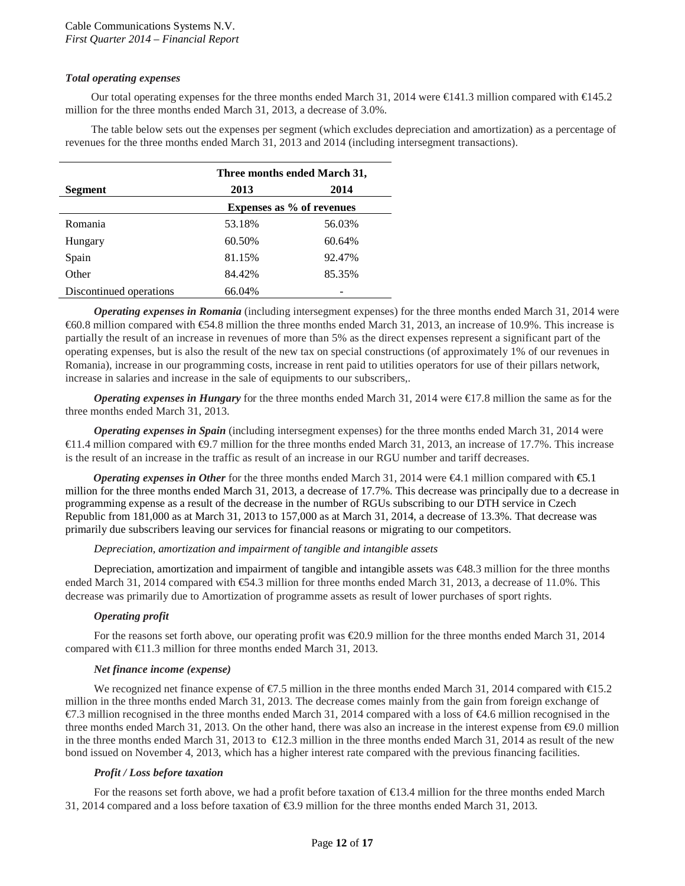## *Total operating expenses*

Our total operating expenses for the three months ended March 31, 2014 were €141.3 million compared with €145.2 million for the three months ended March 31, 2013, a decrease of 3.0%.

The table below sets out the expenses per segment (which excludes depreciation and amortization) as a percentage of revenues for the three months ended March 31, 2013 and 2014 (including intersegment transactions).

|                         | Three months ended March 31, |                                  |  |
|-------------------------|------------------------------|----------------------------------|--|
| <b>Segment</b>          | 2013                         | 2014                             |  |
|                         |                              | <b>Expenses as % of revenues</b> |  |
| Romania                 | 53.18%                       | 56.03%                           |  |
| Hungary                 | 60.50%                       | 60.64%                           |  |
| Spain                   | 81.15%                       | 92.47%                           |  |
| Other                   | 84.42%                       | 85.35%                           |  |
| Discontinued operations | 66.04%                       |                                  |  |

*Operating expenses in Romania* (including intersegment expenses) for the three months ended March 31, 2014 were €60.8 million compared with €54.8 million the three months ended March 31, 2013, an increase of 10.9%. This increase is partially the result of an increase in revenues of more than 5% as the direct expenses represent a significant part of the operating expenses, but is also the result of the new tax on special constructions (of approximately 1% of our revenues in Romania), increase in our programming costs, increase in rent paid to utilities operators for use of their pillars network, increase in salaries and increase in the sale of equipments to our subscribers,.

*Operating expenses in Hungary* for the three months ended March 31, 2014 were €17.8 million the same as for the three months ended March 31, 2013.

*Operating expenses in Spain* (including intersegment expenses) for the three months ended March 31, 2014 were €11.4 million compared with €9.7 million for the three months ended March 31, 2013, an increase of 17.7%. This increase is the result of an increase in the traffic as result of an increase in our RGU number and tariff decreases.

*Operating expenses in Other* for the three months ended March 31, 2014 were €4.1 million compared with €5.1 million for the three months ended March 31, 2013, a decrease of 17.7%. This decrease was principally due to a decrease in programming expense as a result of the decrease in the number of RGUs subscribing to our DTH service in Czech Republic from 181,000 as at March 31, 2013 to 157,000 as at March 31, 2014, a decrease of 13.3%. That decrease was primarily due subscribers leaving our services for financial reasons or migrating to our competitors.

#### *Depreciation, amortization and impairment of tangible and intangible assets*

Depreciation, amortization and impairment of tangible and intangible assets was €48.3 million for the three months ended March 31, 2014 compared with €54.3 million for three months ended March 31, 2013, a decrease of 11.0%. This decrease was primarily due to Amortization of programme assets as result of lower purchases of sport rights.

## *Operating profit*

For the reasons set forth above, our operating profit was €20.9 million for the three months ended March 31, 2014 compared with  $\bigoplus$  1.3 million for three months ended March 31, 2013.

#### *Net finance income (expense)*

We recognized net finance expense of €7.5 million in the three months ended March 31, 2014 compared with €15.2 million in the three months ended March 31, 2013. The decrease comes mainly from the gain from foreign exchange of  $\epsilon$ 7.3 million recognised in the three months ended March 31, 2014 compared with a loss of  $\epsilon$ 4.6 million recognised in the three months ended March 31, 2013. On the other hand, there was also an increase in the interest expense from €9.0 million in the three months ended March 31, 2013 to €12.3 million in the three months ended March 31, 2014 as result of the new bond issued on November 4, 2013, which has a higher interest rate compared with the previous financing facilities.

#### *Profit / Loss before taxation*

For the reasons set forth above, we had a profit before taxation of €13.4 million for the three months ended March 31, 2014 compared and a loss before taxation of €3.9 million for the three months ended March 31, 2013.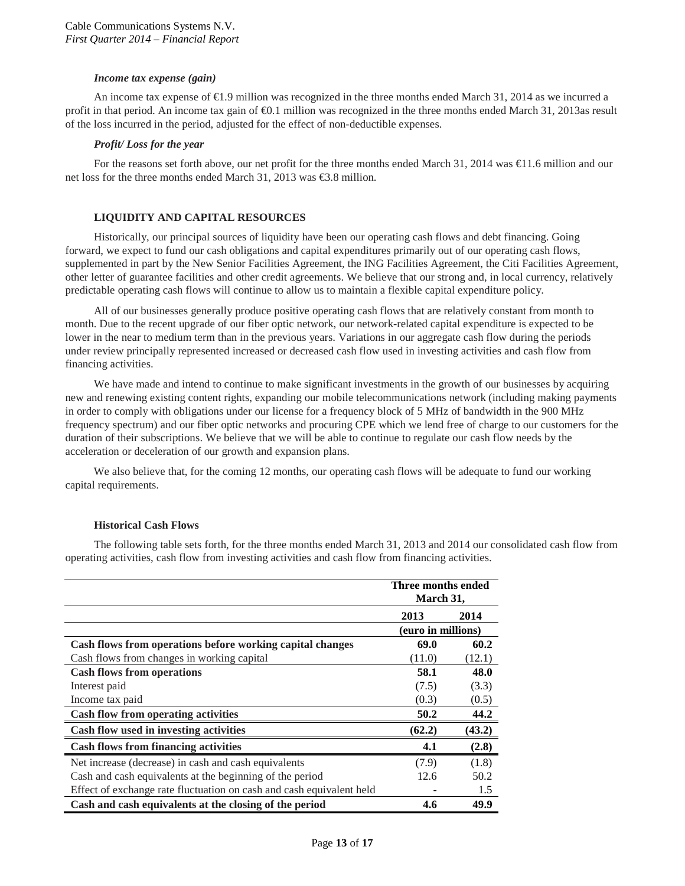#### *Income tax expense (gain)*

An income tax expense of  $\bigoplus$ .9 million was recognized in the three months ended March 31, 2014 as we incurred a profit in that period. An income tax gain of €0.1 million was recognized in the three months ended March 31, 2013as result of the loss incurred in the period, adjusted for the effect of non-deductible expenses.

#### *Profit/ Loss for the year*

For the reasons set forth above, our net profit for the three months ended March 31, 2014 was  $\in$ 1.6 million and our net loss for the three months ended March 31, 2013 was €3.8 million.

## **LIQUIDITY AND CAPITAL RESOURCES**

Historically, our principal sources of liquidity have been our operating cash flows and debt financing. Going forward, we expect to fund our cash obligations and capital expenditures primarily out of our operating cash flows, supplemented in part by the New Senior Facilities Agreement, the ING Facilities Agreement, the Citi Facilities Agreement, other letter of guarantee facilities and other credit agreements. We believe that our strong and, in local currency, relatively predictable operating cash flows will continue to allow us to maintain a flexible capital expenditure policy.

All of our businesses generally produce positive operating cash flows that are relatively constant from month to month. Due to the recent upgrade of our fiber optic network, our network-related capital expenditure is expected to be lower in the near to medium term than in the previous years. Variations in our aggregate cash flow during the periods under review principally represented increased or decreased cash flow used in investing activities and cash flow from financing activities.

We have made and intend to continue to make significant investments in the growth of our businesses by acquiring new and renewing existing content rights, expanding our mobile telecommunications network (including making payments in order to comply with obligations under our license for a frequency block of 5 MHz of bandwidth in the 900 MHz frequency spectrum) and our fiber optic networks and procuring CPE which we lend free of charge to our customers for the duration of their subscriptions. We believe that we will be able to continue to regulate our cash flow needs by the acceleration or deceleration of our growth and expansion plans.

We also believe that, for the coming 12 months, our operating cash flows will be adequate to fund our working capital requirements.

## **Historical Cash Flows**

The following table sets forth, for the three months ended March 31, 2013 and 2014 our consolidated cash flow from operating activities, cash flow from investing activities and cash flow from financing activities.

|                                                                      | Three months ended<br>March 31, |        |
|----------------------------------------------------------------------|---------------------------------|--------|
|                                                                      | 2013                            | 2014   |
|                                                                      | (euro in millions)              |        |
| Cash flows from operations before working capital changes            | 69.0                            | 60.2   |
| Cash flows from changes in working capital                           | (11.0)                          | (12.1) |
| <b>Cash flows from operations</b>                                    | 58.1                            | 48.0   |
| Interest paid                                                        | (7.5)                           | (3.3)  |
| Income tax paid                                                      | (0.3)                           | (0.5)  |
| <b>Cash flow from operating activities</b>                           | 50.2                            | 44.2   |
| Cash flow used in investing activities                               | (62.2)                          | (43.2) |
| <b>Cash flows from financing activities</b>                          | 4.1                             | (2.8)  |
| Net increase (decrease) in cash and cash equivalents                 | (7.9)                           | (1.8)  |
| Cash and cash equivalents at the beginning of the period             | 12.6                            | 50.2   |
| Effect of exchange rate fluctuation on cash and cash equivalent held |                                 | 1.5    |
| Cash and cash equivalents at the closing of the period               | 4.6                             | 49.9   |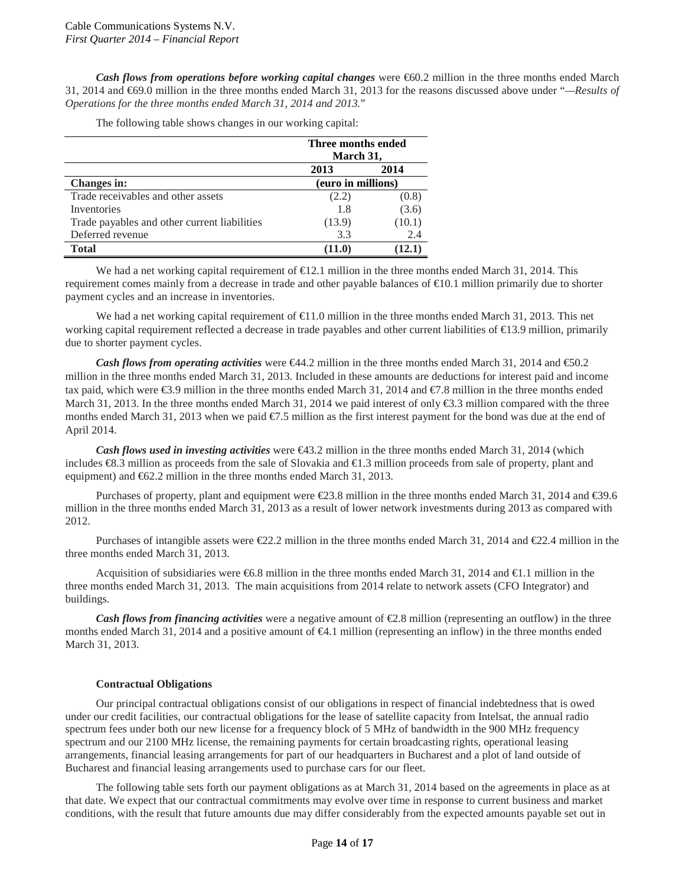*Cash flows from operations before working capital changes* were €60.2 million in the three months ended March 31, 2014 and €69.0 million in the three months ended March 31, 2013 for the reasons discussed above under "*—Results of Operations for the three months ended March 31, 2014 and 2013.*"

The following table shows changes in our working capital:

|                                              | Three months ended<br>March 31, |                |
|----------------------------------------------|---------------------------------|----------------|
|                                              | 2013                            | 2014           |
| <b>Changes in:</b>                           | (euro in millions)              |                |
| Trade receivables and other assets           | (2.2)                           | (0.8)          |
| Inventories                                  | 1.8                             | (3.6)          |
| Trade payables and other current liabilities | (13.9)                          | (10.1)         |
| Deferred revenue                             | 3.3                             | 2.4            |
| <b>Total</b>                                 | (11.0)                          | $12.1^{\circ}$ |

We had a net working capital requirement of  $\text{E}2.1$  million in the three months ended March 31, 2014. This requirement comes mainly from a decrease in trade and other payable balances of €10.1 million primarily due to shorter payment cycles and an increase in inventories.

We had a net working capital requirement of  $\bigoplus$  1.0 million in the three months ended March 31, 2013. This net working capital requirement reflected a decrease in trade payables and other current liabilities of  $\epsilon$ 13.9 million, primarily due to shorter payment cycles.

*Cash flows from <i>operating activities* were €44.2 million in the three months ended March 31, 2014 and €50.2 million in the three months ended March 31, 2013. Included in these amounts are deductions for interest paid and income tax paid, which were €3.9 million in the three months ended March 31, 2014 and €7.8 million in the three months ended March 31, 2013. In the three months ended March 31, 2014 we paid interest of only  $\epsilon$ 3.3 million compared with the three months ended March 31, 2013 when we paid  $\epsilon$ . 5 million as the first interest payment for the bond was due at the end of April 2014.

*Cash flows used in investing activities* were €43.2 million in the three months ended March 31, 2014 (which includes €8.3 million as proceeds from the sale of Slovakia and €1.3 million proceeds from sale of property, plant and equipment) and €62.2 million in the three months ended March 31, 2013.

Purchases of property, plant and equipment were €23.8 million in the three months ended March 31, 2014 and €39.6 million in the three months ended March 31, 2013 as a result of lower network investments during 2013 as compared with 2012.

Purchases of intangible assets were €22.2 million in the three months ended March 31, 2014 and €22.4 million in the three months ended March 31, 2013.

Acquisition of subsidiaries were €6.8 million in the three months ended March 31, 2014 and €1.1 million in the three months ended March 31, 2013. The main acquisitions from 2014 relate to network assets (CFO Integrator) and buildings.

*Cash flows from financing activities* were a negative amount of €2.8 million (representing an outflow) in the three months ended March 31, 2014 and a positive amount of €4.1 million (representing an inflow) in the three months ended March 31, 2013.

#### **Contractual Obligations**

Our principal contractual obligations consist of our obligations in respect of financial indebtedness that is owed under our credit facilities, our contractual obligations for the lease of satellite capacity from Intelsat, the annual radio spectrum fees under both our new license for a frequency block of 5 MHz of bandwidth in the 900 MHz frequency spectrum and our 2100 MHz license, the remaining payments for certain broadcasting rights, operational leasing arrangements, financial leasing arrangements for part of our headquarters in Bucharest and a plot of land outside of Bucharest and financial leasing arrangements used to purchase cars for our fleet.

The following table sets forth our payment obligations as at March 31, 2014 based on the agreements in place as at that date. We expect that our contractual commitments may evolve over time in response to current business and market conditions, with the result that future amounts due may differ considerably from the expected amounts payable set out in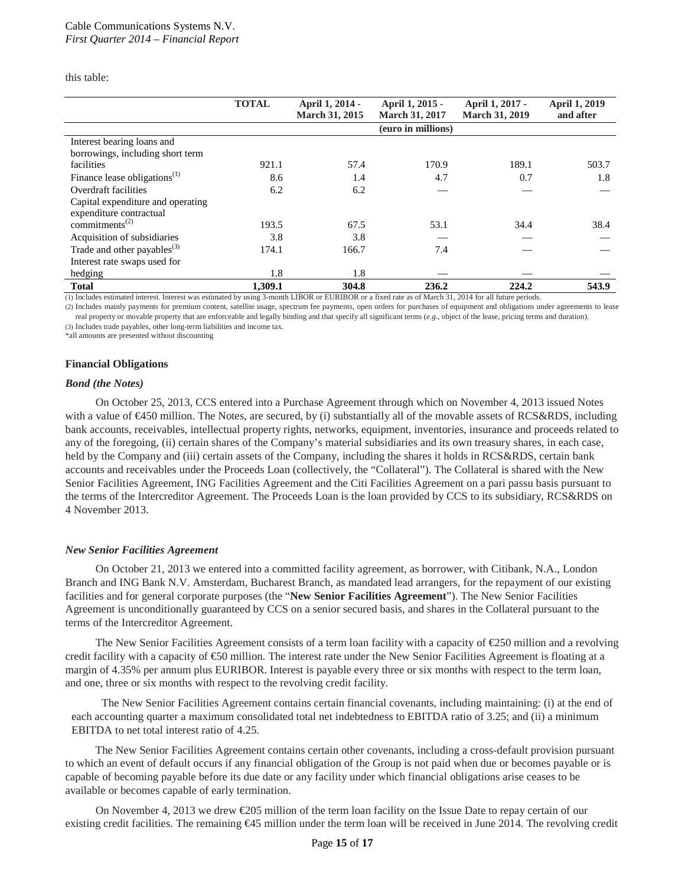this table:

|                                         | <b>TOTAL</b> | April 1, 2014 -<br><b>March 31, 2015</b> | April 1, 2015 -<br><b>March 31, 2017</b> | April 1, 2017 -<br><b>March 31, 2019</b> | <b>April 1, 2019</b><br>and after |
|-----------------------------------------|--------------|------------------------------------------|------------------------------------------|------------------------------------------|-----------------------------------|
|                                         |              |                                          | (euro in millions)                       |                                          |                                   |
| Interest bearing loans and              |              |                                          |                                          |                                          |                                   |
| borrowings, including short term        |              |                                          |                                          |                                          |                                   |
| facilities                              | 921.1        | 57.4                                     | 170.9                                    | 189.1                                    | 503.7                             |
| Finance lease obligations $(1)$         | 8.6          | 1.4                                      | 4.7                                      | 0.7                                      | 1.8                               |
| Overdraft facilities                    | 6.2          | 6.2                                      |                                          |                                          |                                   |
| Capital expenditure and operating       |              |                                          |                                          |                                          |                                   |
| expenditure contractual                 |              |                                          |                                          |                                          |                                   |
| commitments <sup><math>(2)</math></sup> | 193.5        | 67.5                                     | 53.1                                     | 34.4                                     | 38.4                              |
| Acquisition of subsidiaries             | 3.8          | 3.8                                      |                                          |                                          |                                   |
| Trade and other payables $^{(3)}$       | 174.1        | 166.7                                    | 7.4                                      |                                          |                                   |
| Interest rate swaps used for            |              |                                          |                                          |                                          |                                   |
| hedging                                 | 1.8          | 1.8                                      |                                          |                                          |                                   |
| <b>Total</b>                            | 1.309.1      | 304.8                                    | 236.2                                    | 224.2                                    | 543.9                             |

(1) Includes estimated interest. Interest was estimated by using 3-month LIBOR or EURIBOR or a fixed rate as of March 31, 2014 for all future periods.

(2) Includes mainly payments for premium content, satellite usage, spectrum fee payments, open orders for purchases of equipment and obligations under agreements to lease real property or movable property that are enforceable and legally binding and that specify all significant terms (*e.g.*, object of the lease, pricing terms and duration).

(3) Includes trade payables, other long-term liabilities and income tax.

\*all amounts are presented without discounting

#### **Financial Obligations**

#### *Bond (the Notes)*

On October 25, 2013, CCS entered into a Purchase Agreement through which on November 4, 2013 issued Notes with a value of €450 million. The Notes, are secured, by (i) substantially all of the movable assets of RCS&RDS, including bank accounts, receivables, intellectual property rights, networks, equipment, inventories, insurance and proceeds related to any of the foregoing, (ii) certain shares of the Company's material subsidiaries and its own treasury shares, in each case, held by the Company and (iii) certain assets of the Company, including the shares it holds in RCS&RDS, certain bank accounts and receivables under the Proceeds Loan (collectively, the "Collateral"). The Collateral is shared with the New Senior Facilities Agreement, ING Facilities Agreement and the Citi Facilities Agreement on a pari passu basis pursuant to the terms of the Intercreditor Agreement. The Proceeds Loan is the loan provided by CCS to its subsidiary, RCS&RDS on 4 November 2013.

#### *New Senior Facilities Agreement*

On October 21, 2013 we entered into a committed facility agreement, as borrower, with Citibank, N.A., London Branch and ING Bank N.V. Amsterdam, Bucharest Branch, as mandated lead arrangers, for the repayment of our existing facilities and for general corporate purposes (the "**New Senior Facilities Agreement**"). The New Senior Facilities Agreement is unconditionally guaranteed by CCS on a senior secured basis, and shares in the Collateral pursuant to the terms of the Intercreditor Agreement.

The New Senior Facilities Agreement consists of a term loan facility with a capacity of  $\epsilon$ 50 million and a revolving credit facility with a capacity of €50 million. The interest rate under the New Senior Facilities Agreement is floating at a margin of 4.35% per annum plus EURIBOR. Interest is payable every three or six months with respect to the term loan, and one, three or six months with respect to the revolving credit facility.

The New Senior Facilities Agreement contains certain financial covenants, including maintaining: (i) at the end of each accounting quarter a maximum consolidated total net indebtedness to EBITDA ratio of 3.25; and (ii) a minimum EBITDA to net total interest ratio of 4.25.

The New Senior Facilities Agreement contains certain other covenants, including a cross-default provision pursuant to which an event of default occurs if any financial obligation of the Group is not paid when due or becomes payable or is capable of becoming payable before its due date or any facility under which financial obligations arise ceases to be available or becomes capable of early termination.

On November 4, 2013 we drew  $\epsilon$ 205 million of the term loan facility on the Issue Date to repay certain of our existing credit facilities. The remaining €45 million under the term loan will be received in June 2014. The revolving credit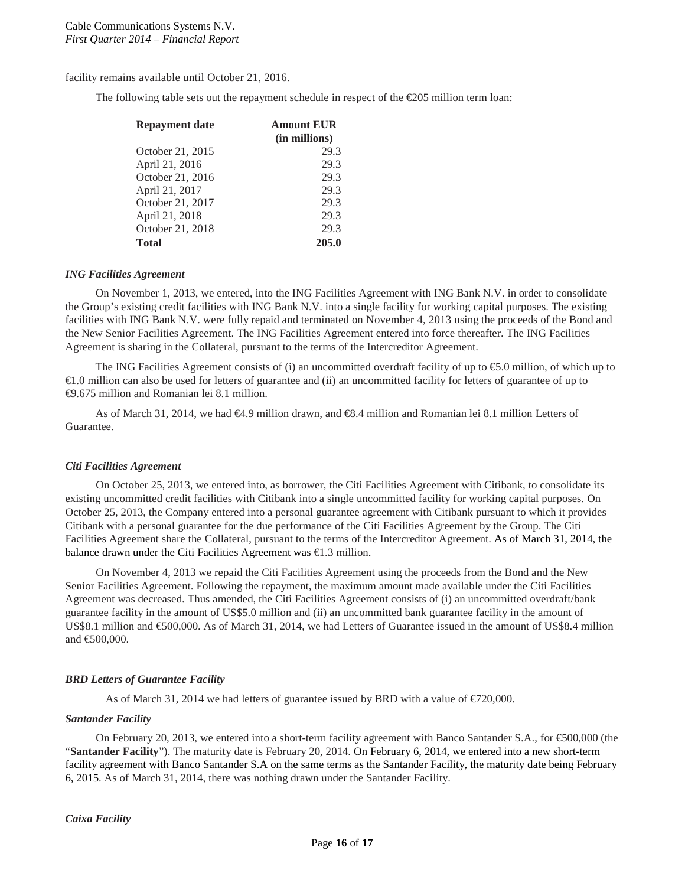facility remains available until October 21, 2016.

The following table sets out the repayment schedule in respect of the €205 million term loan:

| <b>Repayment date</b> | <b>Amount EUR</b><br>(in millions) |
|-----------------------|------------------------------------|
| October 21, 2015      | 29.3                               |
| April 21, 2016        | 29.3                               |
| October 21, 2016      | 29.3                               |
| April 21, 2017        | 29.3                               |
| October 21, 2017      | 29.3                               |
| April 21, 2018        | 29.3                               |
| October 21, 2018      | 29.3                               |
| <b>Total</b>          | 205.0                              |

#### *ING Facilities Agreement*

On November 1, 2013, we entered, into the ING Facilities Agreement with ING Bank N.V. in order to consolidate the Group's existing credit facilities with ING Bank N.V. into a single facility for working capital purposes. The existing facilities with ING Bank N.V. were fully repaid and terminated on November 4, 2013 using the proceeds of the Bond and the New Senior Facilities Agreement. The ING Facilities Agreement entered into force thereafter. The ING Facilities Agreement is sharing in the Collateral, pursuant to the terms of the Intercreditor Agreement.

The ING Facilities Agreement consists of (i) an uncommitted overdraft facility of up to €5.0 million, of which up to €1.0 million can also be used for letters of guarantee and (ii) an uncommitted facility for letters of guarantee of up to €9.675 million and Romanian lei 8.1 million.

As of March 31, 2014, we had €4.9 million drawn, and €8.4 million and Romanian lei 8.1 million Letters of Guarantee.

#### *Citi Facilities Agreement*

On October 25, 2013, we entered into, as borrower, the Citi Facilities Agreement with Citibank, to consolidate its existing uncommitted credit facilities with Citibank into a single uncommitted facility for working capital purposes. On October 25, 2013, the Company entered into a personal guarantee agreement with Citibank pursuant to which it provides Citibank with a personal guarantee for the due performance of the Citi Facilities Agreement by the Group. The Citi Facilities Agreement share the Collateral, pursuant to the terms of the Intercreditor Agreement. As of March 31, 2014, the balance drawn under the Citi Facilities Agreement was €1.3 million.

On November 4, 2013 we repaid the Citi Facilities Agreement using the proceeds from the Bond and the New Senior Facilities Agreement. Following the repayment, the maximum amount made available under the Citi Facilities Agreement was decreased. Thus amended, the Citi Facilities Agreement consists of (i) an uncommitted overdraft/bank guarantee facility in the amount of US\$5.0 million and (ii) an uncommitted bank guarantee facility in the amount of US\$8.1 million and €500,000. As of March 31, 2014, we had Letters of Guarantee issued in the amount of US\$8.4 million and €500,000.

#### *BRD Letters of Guarantee Facility*

As of March 31, 2014 we had letters of guarantee issued by BRD with a value of  $\text{\textsterling}20,000$ .

#### *Santander Facility*

On February 20, 2013, we entered into a short-term facility agreement with Banco Santander S.A., for €500,000 (the "**Santander Facility**"). The maturity date is February 20, 2014. On February 6, 2014, we entered into a new short-term facility agreement with Banco Santander S.A on the same terms as the Santander Facility, the maturity date being February 6, 2015. As of March 31, 2014, there was nothing drawn under the Santander Facility.